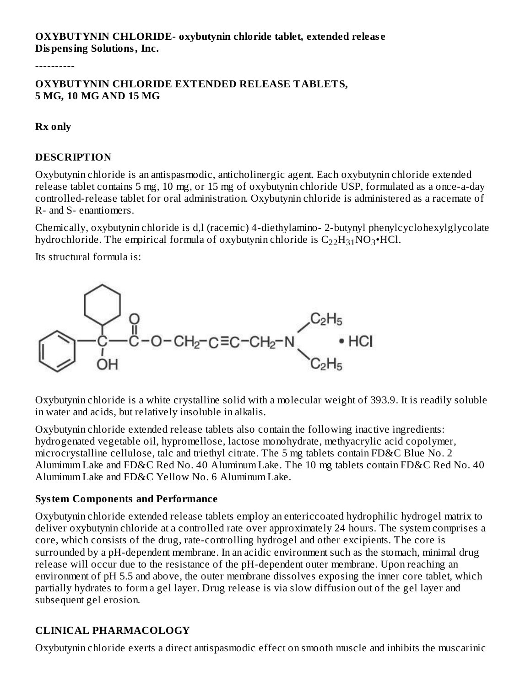## **OXYBUTYNIN CHLORIDE- oxybutynin chloride tablet, extended releas e Dispensing Solutions, Inc.**

----------

#### **OXYBUTYNIN CHLORIDE EXTENDED RELEASE TABLETS, 5 MG, 10 MG AND 15 MG**

#### **Rx only**

#### **DESCRIPTION**

Oxybutynin chloride is an antispasmodic, anticholinergic agent. Each oxybutynin chloride extended release tablet contains 5 mg, 10 mg, or 15 mg of oxybutynin chloride USP, formulated as a once-a-day controlled-release tablet for oral administration. Oxybutynin chloride is administered as a racemate of R- and S- enantiomers.

Chemically, oxybutynin chloride is d,l (racemic) 4-diethylamino- 2-butynyl phenylcyclohexylglycolate hydrochloride. The empirical formula of oxybutynin chloride is  $\rm{C_{22}H_{31}NO_3\bullet}$ HCl.

Its structural formula is:



Oxybutynin chloride is a white crystalline solid with a molecular weight of 393.9. It is readily soluble in water and acids, but relatively insoluble in alkalis.

Oxybutynin chloride extended release tablets also contain the following inactive ingredients: hydrogenated vegetable oil, hypromellose, lactose monohydrate, methyacrylic acid copolymer, microcrystalline cellulose, talc and triethyl citrate. The 5 mg tablets contain FD&C Blue No. 2 Aluminum Lake and FD&C Red No. 40 Aluminum Lake. The 10 mg tablets contain FD&C Red No. 40 Aluminum Lake and FD&C Yellow No. 6 Aluminum Lake.

#### **System Components and Performance**

Oxybutynin chloride extended release tablets employ an entericcoated hydrophilic hydrogel matrix to deliver oxybutynin chloride at a controlled rate over approximately 24 hours. The system comprises a core, which consists of the drug, rate-controlling hydrogel and other excipients. The core is surrounded by a pH-dependent membrane. In an acidic environment such as the stomach, minimal drug release will occur due to the resistance of the pH-dependent outer membrane. Upon reaching an environment of pH 5.5 and above, the outer membrane dissolves exposing the inner core tablet, which partially hydrates to form a gel layer. Drug release is via slow diffusion out of the gel layer and subsequent gel erosion.

## **CLINICAL PHARMACOLOGY**

Oxybutynin chloride exerts a direct antispasmodic effect on smooth muscle and inhibits the muscarinic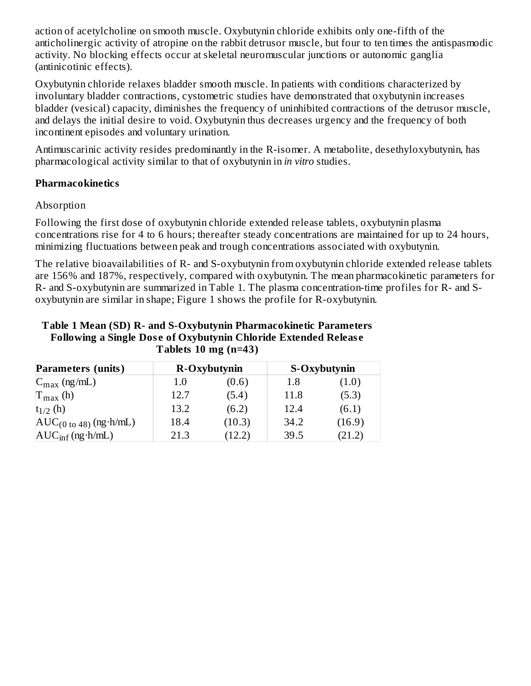action of acetylcholine on smooth muscle. Oxybutynin chloride exhibits only one-fifth of the anticholinergic activity of atropine on the rabbit detrusor muscle, but four to ten times the antispasmodic activity. No blocking effects occur at skeletal neuromuscular junctions or autonomic ganglia (antinicotinic effects).

Oxybutynin chloride relaxes bladder smooth muscle. In patients with conditions characterized by involuntary bladder contractions, cystometric studies have demonstrated that oxybutynin increases bladder (vesical) capacity, diminishes the frequency of uninhibited contractions of the detrusor muscle, and delays the initial desire to void. Oxybutynin thus decreases urgency and the frequency of both incontinent episodes and voluntary urination.

Antimuscarinic activity resides predominantly in the R-isomer. A metabolite, desethyloxybutynin, has pharmacological activity similar to that of oxybutynin in *in vitro* studies.

## **Pharmacokinetics**

## Absorption

Following the first dose of oxybutynin chloride extended release tablets, oxybutynin plasma concentrations rise for 4 to 6 hours; thereafter steady concentrations are maintained for up to 24 hours, minimizing fluctuations between peak and trough concentrations associated with oxybutynin.

The relative bioavailabilities of R- and S-oxybutynin from oxybutynin chloride extended release tablets are 156% and 187%, respectively, compared with oxybutynin. The mean pharmacokinetic parameters for R- and S-oxybutynin are summarized in Table 1. The plasma concentration-time profiles for R- and Soxybutynin are similar in shape; Figure 1 shows the profile for R-oxybutynin.

| Table 1 Mean (SD) R- and S-Oxybutynin Pharmacokinetic Parameters       |
|------------------------------------------------------------------------|
| <b>Following a Single Dose of Oxybutynin Chloride Extended Release</b> |
| Tablets 10 mg $(n=43)$                                                 |

| <b>Parameters (units)</b>                                |      | R-Oxybutynin |      | S-Oxybutynin |
|----------------------------------------------------------|------|--------------|------|--------------|
| $C_{\text{max}}$ (ng/mL)                                 | 1.0  | (0.6)        | 1.8  | (1.0)        |
| $T_{\text{max}}$ (h)                                     | 12.7 | (5.4)        | 11.8 | (5.3)        |
| $t_{1/2}$ (h)                                            | 13.2 | (6.2)        | 12.4 | (6.1)        |
| $AUC_{(0 \text{ to } 48)} (\text{ng} \cdot \text{h/mL})$ | 18.4 | (10.3)       | 34.2 | (16.9)       |
| $AUC_{inf}$ (ng $\cdot$ h/mL)                            | 21.3 | (12.2)       | 39.5 | (21.2)       |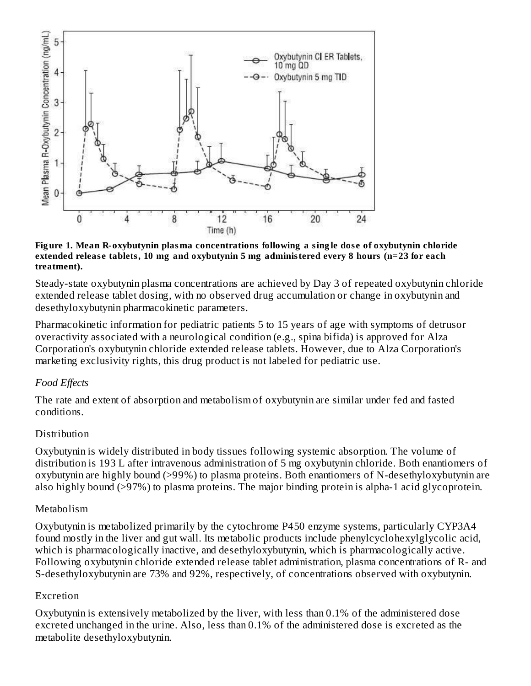

#### **Fig ure 1. Mean R-oxybutynin plasma concentrations following a sing le dos e of oxybutynin chloride extended releas e tablets, 10 mg and oxybutynin 5 mg administered every 8 hours (n=23 for each treatment).**

Steady-state oxybutynin plasma concentrations are achieved by Day 3 of repeated oxybutynin chloride extended release tablet dosing, with no observed drug accumulation or change in oxybutynin and desethyloxybutynin pharmacokinetic parameters.

Pharmacokinetic information for pediatric patients 5 to 15 years of age with symptoms of detrusor overactivity associated with a neurological condition (e.g., spina bifida) is approved for Alza Corporation's oxybutynin chloride extended release tablets. However, due to Alza Corporation's marketing exclusivity rights, this drug product is not labeled for pediatric use.

## *Food Effects*

The rate and extent of absorption and metabolism of oxybutynin are similar under fed and fasted conditions.

## Distribution

Oxybutynin is widely distributed in body tissues following systemic absorption. The volume of distribution is 193 L after intravenous administration of 5 mg oxybutynin chloride. Both enantiomers of oxybutynin are highly bound (>99%) to plasma proteins. Both enantiomers of N-desethyloxybutynin are also highly bound (>97%) to plasma proteins. The major binding protein is alpha-1 acid glycoprotein.

#### Metabolism

Oxybutynin is metabolized primarily by the cytochrome P450 enzyme systems, particularly CYP3A4 found mostly in the liver and gut wall. Its metabolic products include phenylcyclohexylglycolic acid, which is pharmacologically inactive, and desethyloxybutynin, which is pharmacologically active. Following oxybutynin chloride extended release tablet administration, plasma concentrations of R- and S-desethyloxybutynin are 73% and 92%, respectively, of concentrations observed with oxybutynin.

#### Excretion

Oxybutynin is extensively metabolized by the liver, with less than 0.1% of the administered dose excreted unchanged in the urine. Also, less than 0.1% of the administered dose is excreted as the metabolite desethyloxybutynin.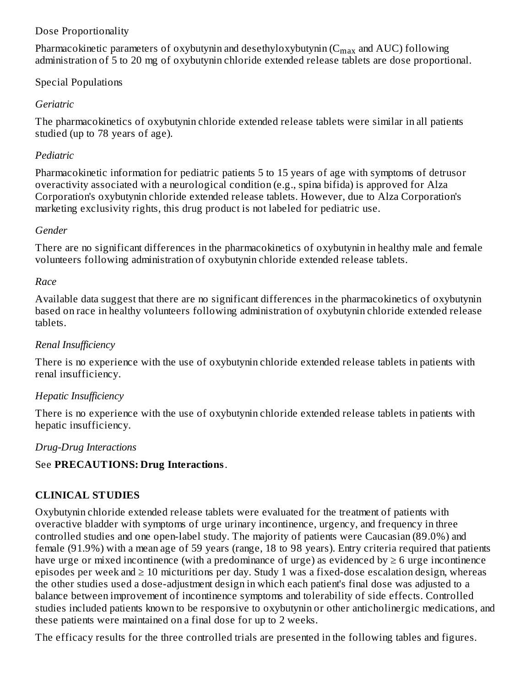## Dose Proportionality

Pharmacokinetic parameters of oxybutynin and desethyloxybutynin ( $\rm{C_{max}}$  and  $\rm{AUC}$ ) following administration of 5 to 20 mg of oxybutynin chloride extended release tablets are dose proportional.

## Special Populations

## *Geriatric*

The pharmacokinetics of oxybutynin chloride extended release tablets were similar in all patients studied (up to 78 years of age).

## *Pediatric*

Pharmacokinetic information for pediatric patients 5 to 15 years of age with symptoms of detrusor overactivity associated with a neurological condition (e.g., spina bifida) is approved for Alza Corporation's oxybutynin chloride extended release tablets. However, due to Alza Corporation's marketing exclusivity rights, this drug product is not labeled for pediatric use.

## *Gender*

There are no significant differences in the pharmacokinetics of oxybutynin in healthy male and female volunteers following administration of oxybutynin chloride extended release tablets.

## *Race*

Available data suggest that there are no significant differences in the pharmacokinetics of oxybutynin based on race in healthy volunteers following administration of oxybutynin chloride extended release tablets.

## *Renal Insufficiency*

There is no experience with the use of oxybutynin chloride extended release tablets in patients with renal insufficiency.

## *Hepatic Insufficiency*

There is no experience with the use of oxybutynin chloride extended release tablets in patients with hepatic insufficiency.

## *Drug-Drug Interactions*

# See **PRECAUTIONS: Drug Interactions**.

# **CLINICAL STUDIES**

Oxybutynin chloride extended release tablets were evaluated for the treatment of patients with overactive bladder with symptoms of urge urinary incontinence, urgency, and frequency in three controlled studies and one open-label study. The majority of patients were Caucasian (89.0%) and female (91.9%) with a mean age of 59 years (range, 18 to 98 years). Entry criteria required that patients have urge or mixed incontinence (with a predominance of urge) as evidenced by  $\geq 6$  urge incontinence episodes per week and  $\geq 10$  micturitions per day. Study 1 was a fixed-dose escalation design, whereas the other studies used a dose-adjustment design in which each patient's final dose was adjusted to a balance between improvement of incontinence symptoms and tolerability of side effects. Controlled studies included patients known to be responsive to oxybutynin or other anticholinergic medications, and these patients were maintained on a final dose for up to 2 weeks.

The efficacy results for the three controlled trials are presented in the following tables and figures.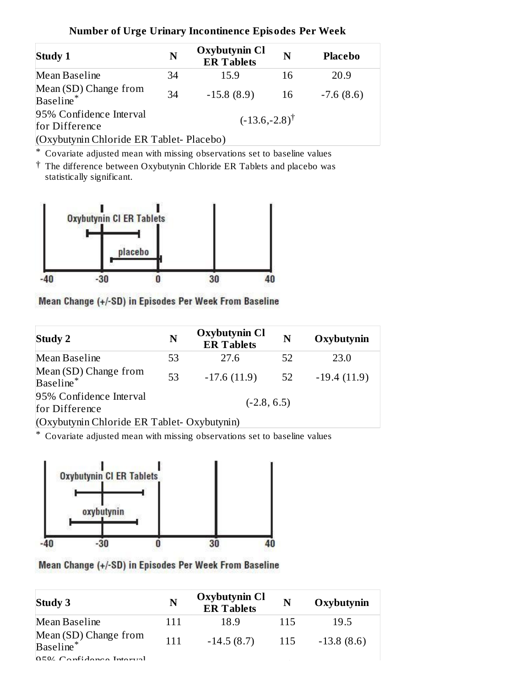| Study 1                                        | N                        | <b>Oxybutynin Cl</b><br><b>ER Tablets</b> | N    | <b>Placebo</b> |  |  |
|------------------------------------------------|--------------------------|-------------------------------------------|------|----------------|--|--|
| Mean Baseline                                  | 34                       | 15.9                                      | 16   | 20.9           |  |  |
| Mean (SD) Change from<br>Baseline <sup>*</sup> | 34                       | $-15.8(8.9)$                              | - 16 | $-7.6(8.6)$    |  |  |
| 95% Confidence Interval<br>for Difference      | $(-13.6,-2.8)^{\dagger}$ |                                           |      |                |  |  |
| (Oxybutynin Chloride ER Tablet-Placebo)        |                          |                                           |      |                |  |  |

#### **Number of Urge Urinary Incontinence Episodes Per Week**

\* Covariate adjusted mean with missing observations set to baseline values

† The difference between Oxybutynin Chloride ER Tablets and placebo was statistically significant.



Mean Change (+/-SD) in Episodes Per Week From Baseline

| <b>Study 2</b>                                 | N             | <b>Oxybutynin Cl</b><br><b>ER Tablets</b> | N  | Oxybutynin    |  |
|------------------------------------------------|---------------|-------------------------------------------|----|---------------|--|
| Mean Baseline                                  | 53            | 27.6                                      | 52 | 23.0          |  |
| Mean (SD) Change from<br>Baseline <sup>*</sup> | 53            | $-17.6(11.9)$                             | 52 | $-19.4(11.9)$ |  |
| 95% Confidence Interval<br>for Difference      | $(-2.8, 6.5)$ |                                           |    |               |  |
| (Oxybutynin Chloride ER Tablet-Oxybutynin)     |               |                                           |    |               |  |

\* Covariate adjusted mean with missing observations set to baseline values



Mean Change (+/-SD) in Episodes Per Week From Baseline

| <b>Study 3</b>                          | N   | <b>Oxybutynin Cl</b><br><b>ER Tablets</b> | N   | Oxybutynin   |
|-----------------------------------------|-----|-------------------------------------------|-----|--------------|
| Mean Baseline                           | 111 | 18.9                                      | 115 | 19.5         |
| Mean (SD) Change from<br>Baseline*      | 111 | $-14.5(8.7)$                              | 115 | $-13.8(8.6)$ |
| $\Omega$ <sub>Canfidange</sub> Interval |     |                                           |     |              |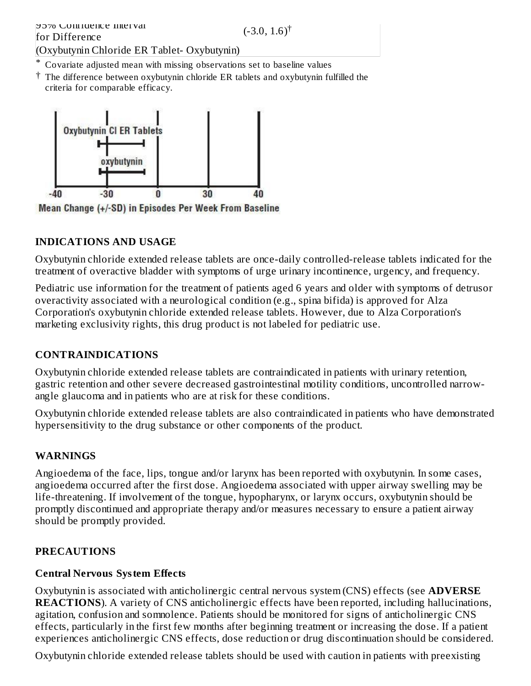\* Covariate adjusted mean with missing observations set to baseline values

† The difference between oxybutynin chloride ER tablets and oxybutynin fulfilled the criteria for comparable efficacy.



Mean Change (+/-SD) in Episodes Per Week From Baseline

# **INDICATIONS AND USAGE**

Oxybutynin chloride extended release tablets are once-daily controlled-release tablets indicated for the treatment of overactive bladder with symptoms of urge urinary incontinence, urgency, and frequency.

Pediatric use information for the treatment of patients aged 6 years and older with symptoms of detrusor overactivity associated with a neurological condition (e.g., spina bifida) is approved for Alza Corporation's oxybutynin chloride extended release tablets. However, due to Alza Corporation's marketing exclusivity rights, this drug product is not labeled for pediatric use.

# **CONTRAINDICATIONS**

Oxybutynin chloride extended release tablets are contraindicated in patients with urinary retention, gastric retention and other severe decreased gastrointestinal motility conditions, uncontrolled narrowangle glaucoma and in patients who are at risk for these conditions.

Oxybutynin chloride extended release tablets are also contraindicated in patients who have demonstrated hypersensitivity to the drug substance or other components of the product.

## **WARNINGS**

Angioedema of the face, lips, tongue and/or larynx has been reported with oxybutynin. In some cases, angioedema occurred after the first dose. Angioedema associated with upper airway swelling may be life-threatening. If involvement of the tongue, hypopharynx, or larynx occurs, oxybutynin should be promptly discontinued and appropriate therapy and/or measures necessary to ensure a patient airway should be promptly provided.

## **PRECAUTIONS**

## **Central Nervous System Effects**

Oxybutynin is associated with anticholinergic central nervous system (CNS) effects (see **ADVERSE REACTIONS**). A variety of CNS anticholinergic effects have been reported, including hallucinations, agitation, confusion and somnolence. Patients should be monitored for signs of anticholinergic CNS effects, particularly in the first few months after beginning treatment or increasing the dose. If a patient experiences anticholinergic CNS effects, dose reduction or drug discontinuation should be considered.

Oxybutynin chloride extended release tablets should be used with caution in patients with preexisting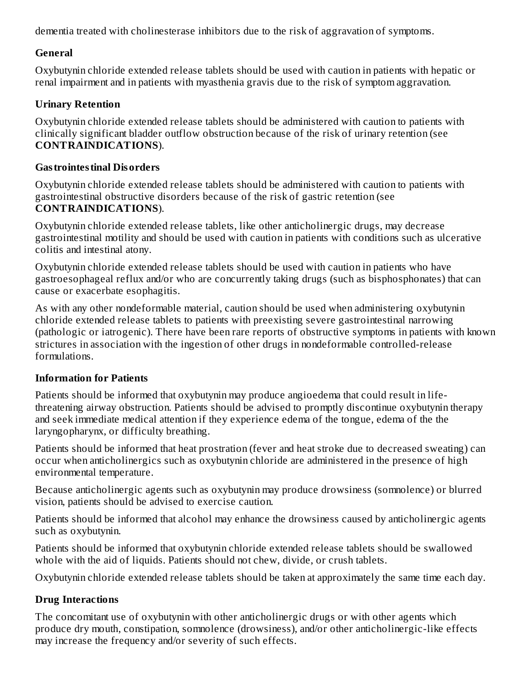dementia treated with cholinesterase inhibitors due to the risk of aggravation of symptoms.

## **General**

Oxybutynin chloride extended release tablets should be used with caution in patients with hepatic or renal impairment and in patients with myasthenia gravis due to the risk of symptom aggravation.

# **Urinary Retention**

Oxybutynin chloride extended release tablets should be administered with caution to patients with clinically significant bladder outflow obstruction because of the risk of urinary retention (see **CONTRAINDICATIONS**).

# **Gastrointestinal Disorders**

Oxybutynin chloride extended release tablets should be administered with caution to patients with gastrointestinal obstructive disorders because of the risk of gastric retention (see **CONTRAINDICATIONS**).

Oxybutynin chloride extended release tablets, like other anticholinergic drugs, may decrease gastrointestinal motility and should be used with caution in patients with conditions such as ulcerative colitis and intestinal atony.

Oxybutynin chloride extended release tablets should be used with caution in patients who have gastroesophageal reflux and/or who are concurrently taking drugs (such as bisphosphonates) that can cause or exacerbate esophagitis.

As with any other nondeformable material, caution should be used when administering oxybutynin chloride extended release tablets to patients with preexisting severe gastrointestinal narrowing (pathologic or iatrogenic). There have been rare reports of obstructive symptoms in patients with known strictures in association with the ingestion of other drugs in nondeformable controlled-release formulations.

# **Information for Patients**

Patients should be informed that oxybutynin may produce angioedema that could result in lifethreatening airway obstruction. Patients should be advised to promptly discontinue oxybutynin therapy and seek immediate medical attention if they experience edema of the tongue, edema of the the laryngopharynx, or difficulty breathing.

Patients should be informed that heat prostration (fever and heat stroke due to decreased sweating) can occur when anticholinergics such as oxybutynin chloride are administered in the presence of high environmental temperature.

Because anticholinergic agents such as oxybutynin may produce drowsiness (somnolence) or blurred vision, patients should be advised to exercise caution.

Patients should be informed that alcohol may enhance the drowsiness caused by anticholinergic agents such as oxybutynin.

Patients should be informed that oxybutynin chloride extended release tablets should be swallowed whole with the aid of liquids. Patients should not chew, divide, or crush tablets.

Oxybutynin chloride extended release tablets should be taken at approximately the same time each day.

# **Drug Interactions**

The concomitant use of oxybutynin with other anticholinergic drugs or with other agents which produce dry mouth, constipation, somnolence (drowsiness), and/or other anticholinergic-like effects may increase the frequency and/or severity of such effects.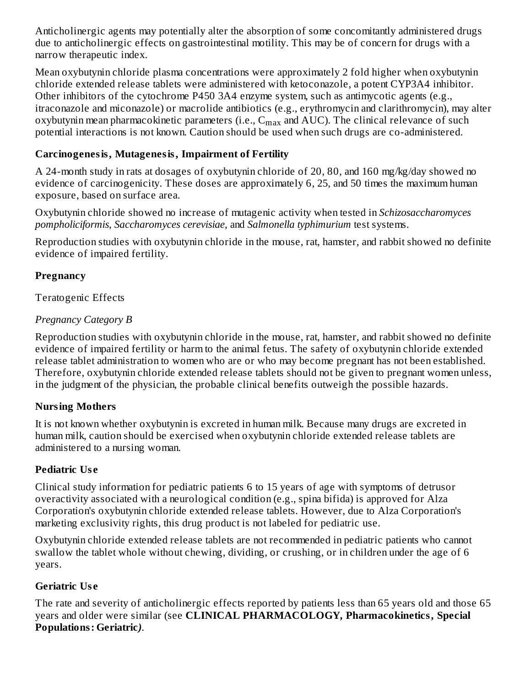Anticholinergic agents may potentially alter the absorption of some concomitantly administered drugs due to anticholinergic effects on gastrointestinal motility. This may be of concern for drugs with a narrow therapeutic index.

Mean oxybutynin chloride plasma concentrations were approximately 2 fold higher when oxybutynin chloride extended release tablets were administered with ketoconazole, a potent CYP3A4 inhibitor. Other inhibitors of the cytochrome P450 3A4 enzyme system, such as antimycotic agents (e.g., itraconazole and miconazole) or macrolide antibiotics (e.g., erythromycin and clarithromycin), may alter oxybutynin mean pharmacokinetic parameters (i.e.,  $\mathsf{C}_{\max}$  and  $\mathrm{AUC}$ ). The clinical relevance of such potential interactions is not known. Caution should be used when such drugs are co-administered.

# **Carcinogenesis, Mutagenesis, Impairment of Fertility**

A 24-month study in rats at dosages of oxybutynin chloride of 20, 80, and 160 mg/kg/day showed no evidence of carcinogenicity. These doses are approximately 6, 25, and 50 times the maximum human exposure, based on surface area.

Oxybutynin chloride showed no increase of mutagenic activity when tested in *Schizosaccharomyces pompholiciformis*, *Saccharomyces cerevisiae*, and *Salmonella typhimurium* test systems.

Reproduction studies with oxybutynin chloride in the mouse, rat, hamster, and rabbit showed no definite evidence of impaired fertility.

# **Pregnancy**

Teratogenic Effects

# *Pregnancy Category B*

Reproduction studies with oxybutynin chloride in the mouse, rat, hamster, and rabbit showed no definite evidence of impaired fertility or harm to the animal fetus. The safety of oxybutynin chloride extended release tablet administration to women who are or who may become pregnant has not been established. Therefore, oxybutynin chloride extended release tablets should not be given to pregnant women unless, in the judgment of the physician, the probable clinical benefits outweigh the possible hazards.

# **Nursing Mothers**

It is not known whether oxybutynin is excreted in human milk. Because many drugs are excreted in human milk, caution should be exercised when oxybutynin chloride extended release tablets are administered to a nursing woman.

# **Pediatric Us e**

Clinical study information for pediatric patients 6 to 15 years of age with symptoms of detrusor overactivity associated with a neurological condition (e.g., spina bifida) is approved for Alza Corporation's oxybutynin chloride extended release tablets. However, due to Alza Corporation's marketing exclusivity rights, this drug product is not labeled for pediatric use.

Oxybutynin chloride extended release tablets are not recommended in pediatric patients who cannot swallow the tablet whole without chewing, dividing, or crushing, or in children under the age of 6 years.

# **Geriatric Us e**

The rate and severity of anticholinergic effects reported by patients less than 65 years old and those 65 years and older were similar (see **CLINICAL PHARMACOLOGY, Pharmacokinetics, Special Populations: Geriatric***)*.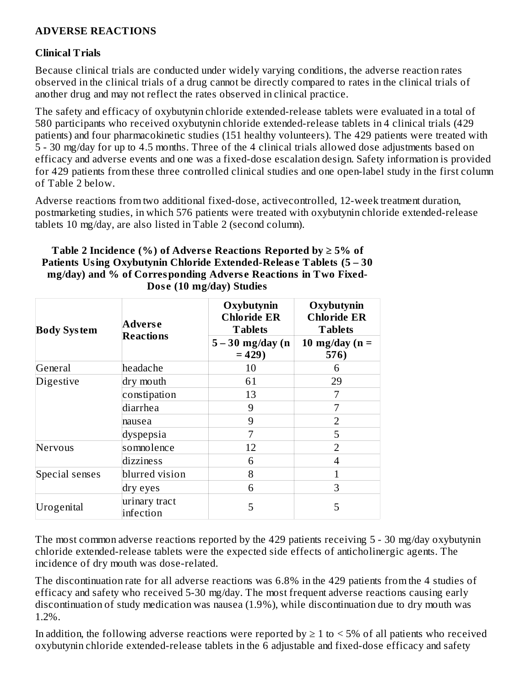## **ADVERSE REACTIONS**

#### **Clinical Trials**

Because clinical trials are conducted under widely varying conditions, the adverse reaction rates observed in the clinical trials of a drug cannot be directly compared to rates in the clinical trials of another drug and may not reflect the rates observed in clinical practice.

The safety and efficacy of oxybutynin chloride extended-release tablets were evaluated in a total of 580 participants who received oxybutynin chloride extended-release tablets in 4 clinical trials (429 patients) and four pharmacokinetic studies (151 healthy volunteers). The 429 patients were treated with 5 - 30 mg/day for up to 4.5 months. Three of the 4 clinical trials allowed dose adjustments based on efficacy and adverse events and one was a fixed-dose escalation design. Safety information is provided for 429 patients from these three controlled clinical studies and one open-label study in the first column of Table 2 below.

Adverse reactions from two additional fixed-dose, activecontrolled, 12-week treatment duration, postmarketing studies, in which 576 patients were treated with oxybutynin chloride extended-release tablets 10 mg/day, are also listed in Table 2 (second column).

| Table 2 Incidence (%) of Adverse Reactions Reported by $\geq 5\%$ of |
|----------------------------------------------------------------------|
| Patients Using Oxybutynin Chloride Extended-Release Tablets (5 – 30  |
| mg/day) and % of Corresponding Adverse Reactions in Two Fixed-       |
| Dose (10 mg/day) Studies                                             |

| <b>Body System</b> | <b>Adverse</b><br><b>Reactions</b> | Oxybutynin<br><b>Chloride ER</b><br><b>Tablets</b><br>$5 - 30$ mg/day (n<br>$= 429$ | Oxybutynin<br><b>Chloride ER</b><br><b>Tablets</b><br>10 mg/day ( $n =$<br>576) |
|--------------------|------------------------------------|-------------------------------------------------------------------------------------|---------------------------------------------------------------------------------|
| General            | headache                           | 10                                                                                  | 6                                                                               |
| Digestive          | dry mouth                          | 61                                                                                  | 29                                                                              |
|                    | constipation                       | 13                                                                                  | 7                                                                               |
|                    | diarrhea                           | 9                                                                                   | 7                                                                               |
|                    | nausea                             | 9                                                                                   | $\overline{2}$                                                                  |
|                    | dyspepsia                          | 7                                                                                   | 5                                                                               |
| Nervous            | somnolence                         | 12                                                                                  | $\overline{2}$                                                                  |
|                    | dizziness                          | 6                                                                                   | 4                                                                               |
| Special senses     | blurred vision                     | 8                                                                                   | 1                                                                               |
|                    | dry eyes                           | 6                                                                                   | 3                                                                               |
| Urogenital         | urinary tract<br>infection         | 5                                                                                   | 5                                                                               |

The most common adverse reactions reported by the 429 patients receiving 5 - 30 mg/day oxybutynin chloride extended-release tablets were the expected side effects of anticholinergic agents. The incidence of dry mouth was dose-related.

The discontinuation rate for all adverse reactions was 6.8% in the 429 patients from the 4 studies of efficacy and safety who received 5-30 mg/day. The most frequent adverse reactions causing early discontinuation of study medication was nausea (1.9%), while discontinuation due to dry mouth was 1.2%.

In addition, the following adverse reactions were reported by  $\geq 1$  to  $\leq 5\%$  of all patients who received oxybutynin chloride extended-release tablets in the 6 adjustable and fixed-dose efficacy and safety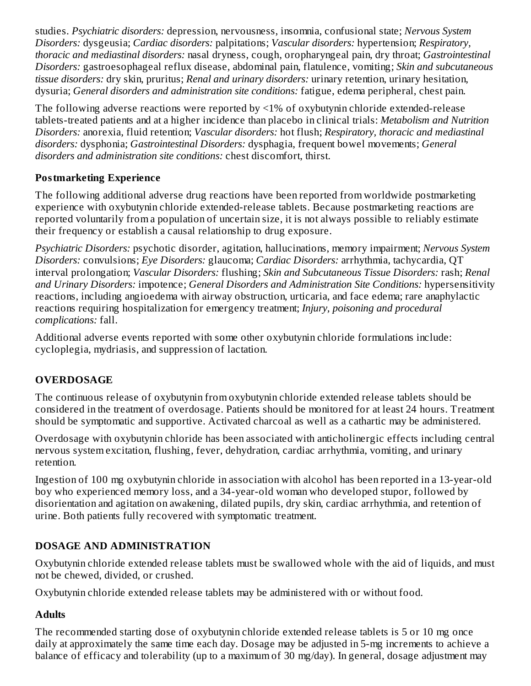studies. *Psychiatric disorders:* depression, nervousness, insomnia, confusional state; *Nervous System Disorders:* dysgeusia; *Cardiac disorders:* palpitations; *Vascular disorders:* hypertension; *Respiratory, thoracic and mediastinal disorders:* nasal dryness, cough, oropharyngeal pain, dry throat; *Gastrointestinal Disorders:* gastroesophageal reflux disease, abdominal pain, flatulence, vomiting; *Skin and subcutaneous tissue disorders:* dry skin, pruritus; *Renal and urinary disorders:* urinary retention, urinary hesitation, dysuria; *General disorders and administration site conditions:* fatigue, edema peripheral, chest pain.

The following adverse reactions were reported by <1% of oxybutynin chloride extended-release tablets-treated patients and at a higher incidence than placebo in clinical trials: *Metabolism and Nutrition Disorders:* anorexia, fluid retention; *Vascular disorders:* hot flush; *Respiratory, thoracic and mediastinal disorders:* dysphonia; *Gastrointestinal Disorders:* dysphagia, frequent bowel movements; *General disorders and administration site conditions:* chest discomfort, thirst.

# **Postmarketing Experience**

The following additional adverse drug reactions have been reported from worldwide postmarketing experience with oxybutynin chloride extended-release tablets. Because postmarketing reactions are reported voluntarily from a population of uncertain size, it is not always possible to reliably estimate their frequency or establish a causal relationship to drug exposure.

*Psychiatric Disorders:* psychotic disorder, agitation, hallucinations, memory impairment; *Nervous System Disorders:* convulsions; *Eye Disorders:* glaucoma; *Cardiac Disorders:* arrhythmia, tachycardia, QT interval prolongation; *Vascular Disorders:* flushing; *Skin and Subcutaneous Tissue Disorders:* rash; *Renal and Urinary Disorders:* impotence; *General Disorders and Administration Site Conditions:* hypersensitivity reactions, including angioedema with airway obstruction, urticaria, and face edema; rare anaphylactic reactions requiring hospitalization for emergency treatment; *Injury, poisoning and procedural complications:* fall.

Additional adverse events reported with some other oxybutynin chloride formulations include: cycloplegia, mydriasis, and suppression of lactation.

# **OVERDOSAGE**

The continuous release of oxybutynin from oxybutynin chloride extended release tablets should be considered in the treatment of overdosage. Patients should be monitored for at least 24 hours. Treatment should be symptomatic and supportive. Activated charcoal as well as a cathartic may be administered.

Overdosage with oxybutynin chloride has been associated with anticholinergic effects including central nervous system excitation, flushing, fever, dehydration, cardiac arrhythmia, vomiting, and urinary retention.

Ingestion of 100 mg oxybutynin chloride in association with alcohol has been reported in a 13-year-old boy who experienced memory loss, and a 34-year-old woman who developed stupor, followed by disorientation and agitation on awakening, dilated pupils, dry skin, cardiac arrhythmia, and retention of urine. Both patients fully recovered with symptomatic treatment.

# **DOSAGE AND ADMINISTRATION**

Oxybutynin chloride extended release tablets must be swallowed whole with the aid of liquids, and must not be chewed, divided, or crushed.

Oxybutynin chloride extended release tablets may be administered with or without food.

# **Adults**

The recommended starting dose of oxybutynin chloride extended release tablets is 5 or 10 mg once daily at approximately the same time each day. Dosage may be adjusted in 5-mg increments to achieve a balance of efficacy and tolerability (up to a maximum of 30 mg/day). In general, dosage adjustment may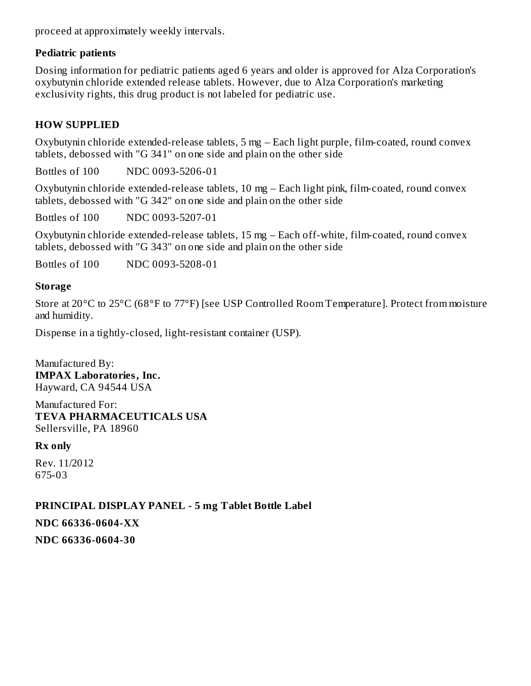proceed at approximately weekly intervals.

#### **Pediatric patients**

Dosing information for pediatric patients aged 6 years and older is approved for Alza Corporation's oxybutynin chloride extended release tablets. However, due to Alza Corporation's marketing exclusivity rights, this drug product is not labeled for pediatric use.

## **HOW SUPPLIED**

Oxybutynin chloride extended-release tablets, 5 mg – Each light purple, film-coated, round convex tablets, debossed with "G 341" on one side and plain on the other side

Bottles of 100 NDC 0093-5206-01

Oxybutynin chloride extended-release tablets, 10 mg – Each light pink, film-coated, round convex tablets, debossed with "G 342" on one side and plain on the other side

Bottles of 100 NDC 0093-5207-01

Oxybutynin chloride extended-release tablets, 15 mg – Each off-white, film-coated, round convex tablets, debossed with "G 343" on one side and plain on the other side

Bottles of 100 NDC 0093-5208-01

#### **Storage**

Store at 20°C to 25°C (68°F to 77°F) [see USP Controlled Room Temperature]. Protect from moisture and humidity.

Dispense in a tightly-closed, light-resistant container (USP).

Manufactured By: **IMPAX Laboratories, Inc.** Hayward, CA 94544 USA

Manufactured For: **TEVA PHARMACEUTICALS USA** Sellersville, PA 18960

## **Rx only**

Rev. 11/2012 675-03

## **PRINCIPAL DISPLAY PANEL - 5 mg Tablet Bottle Label**

#### **NDC 66336-0604-XX**

**NDC 66336-0604-30**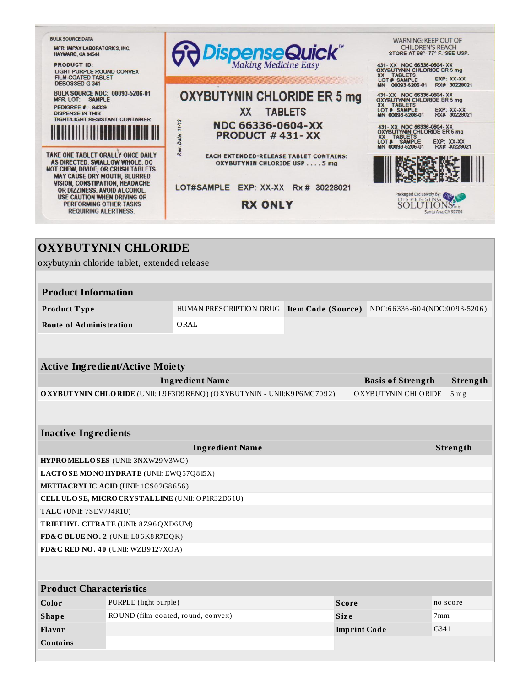

# **OXYBUTYNIN CHLORIDE** oxybutynin chloride tablet, extended release **Product Information Product T ype** HUMAN PRESCRIPTION DRUG **Ite m Code (Source )** NDC:6 6 336 -6 0 4(NDC:0 0 9 3-520 6 ) **Route of Administration** ORAL **Active Ingredient/Active Moiety Ingredient Name Basis of Strength Strength OXYBUTYNIN CHLORIDE** (UNII: L9 F3D9 RENQ) (OXYBUTYNIN - UNII:K9 P6 MC7092) OXYBUTYNIN CHLORIDE 5 mg **Inactive Ingredients Ingredient Name Strength HYPROMELLOSES** (UNII: 3NXW29V3WO) **LACTOSE MONOHYDRATE** (UNII: EWQ57Q8 I5X) **METHACRYLIC ACID** (UNII: 1CS0 2G8 6 56 ) **CELLULOSE, MICROCRYSTALLINE** (UNII: OP1R32D6 1U) **TALC** (UNII: 7SEV7J4R1U) **TRIETHYL CITRATE** (UNII: 8Z9 6QXD6UM) **FD&C BLUE NO. 2** (UNII: L0 6K8R7DQK) **FD&C RED NO. 4 0** (UNII: WZB9 127XOA) **Product Characteristics Color** PURPLE (light purple) **Score Score no** score **no** score **Shape** ROUND (film-coated, round, convex) **Size Size** 7mm **Flavor Imprint Code** G341

**Contains**